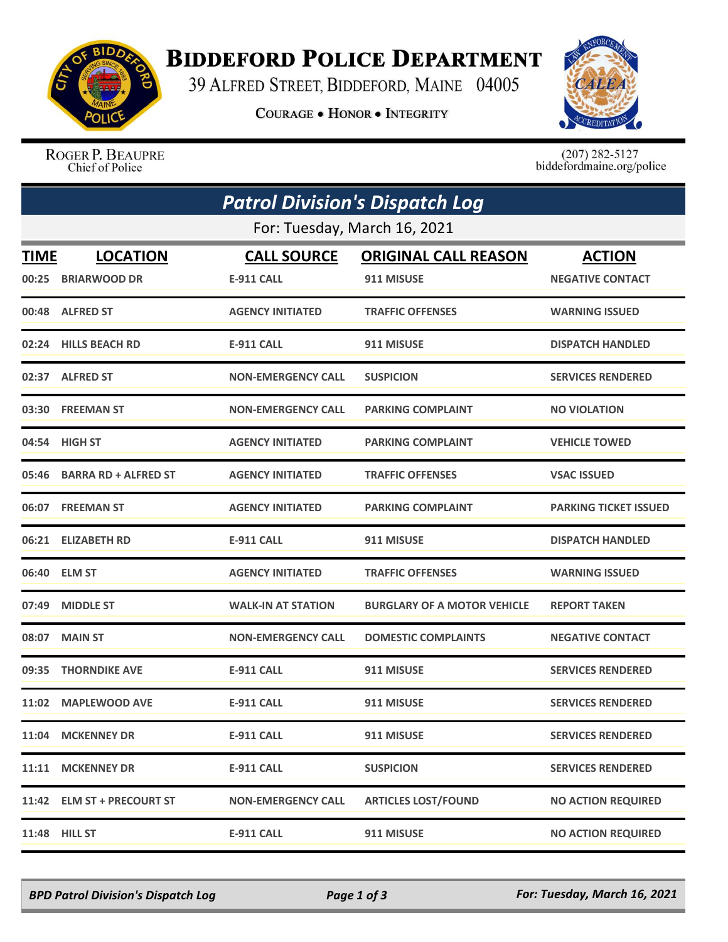

## **BIDDEFORD POLICE DEPARTMENT**

39 ALFRED STREET, BIDDEFORD, MAINE 04005

**COURAGE . HONOR . INTEGRITY** 



ROGER P. BEAUPRE Chief of Police

 $(207)$  282-5127<br>biddefordmaine.org/police

| <b>Patrol Division's Dispatch Log</b> |                             |                           |                                    |                              |  |  |  |
|---------------------------------------|-----------------------------|---------------------------|------------------------------------|------------------------------|--|--|--|
| For: Tuesday, March 16, 2021          |                             |                           |                                    |                              |  |  |  |
| TIME                                  | <b>LOCATION</b>             | <b>CALL SOURCE</b>        | <b>ORIGINAL CALL REASON</b>        | <b>ACTION</b>                |  |  |  |
| 00:25                                 | <b>BRIARWOOD DR</b>         | <b>E-911 CALL</b>         | 911 MISUSE                         | <b>NEGATIVE CONTACT</b>      |  |  |  |
|                                       | 00:48 ALFRED ST             | <b>AGENCY INITIATED</b>   | <b>TRAFFIC OFFENSES</b>            | <b>WARNING ISSUED</b>        |  |  |  |
| 02:24                                 | <b>HILLS BEACH RD</b>       | <b>E-911 CALL</b>         | 911 MISUSE                         | <b>DISPATCH HANDLED</b>      |  |  |  |
|                                       | 02:37 ALFRED ST             | <b>NON-EMERGENCY CALL</b> | <b>SUSPICION</b>                   | <b>SERVICES RENDERED</b>     |  |  |  |
|                                       | 03:30 FREEMAN ST            | <b>NON-EMERGENCY CALL</b> | <b>PARKING COMPLAINT</b>           | <b>NO VIOLATION</b>          |  |  |  |
|                                       | 04:54 HIGH ST               | <b>AGENCY INITIATED</b>   | <b>PARKING COMPLAINT</b>           | <b>VEHICLE TOWED</b>         |  |  |  |
| 05:46                                 | <b>BARRA RD + ALFRED ST</b> | <b>AGENCY INITIATED</b>   | <b>TRAFFIC OFFENSES</b>            | <b>VSAC ISSUED</b>           |  |  |  |
|                                       | 06:07 FREEMAN ST            | <b>AGENCY INITIATED</b>   | <b>PARKING COMPLAINT</b>           | <b>PARKING TICKET ISSUED</b> |  |  |  |
|                                       | 06:21 ELIZABETH RD          | <b>E-911 CALL</b>         | 911 MISUSE                         | <b>DISPATCH HANDLED</b>      |  |  |  |
| 06:40                                 | <b>ELM ST</b>               | <b>AGENCY INITIATED</b>   | <b>TRAFFIC OFFENSES</b>            | <b>WARNING ISSUED</b>        |  |  |  |
| 07:49                                 | <b>MIDDLE ST</b>            | <b>WALK-IN AT STATION</b> | <b>BURGLARY OF A MOTOR VEHICLE</b> | <b>REPORT TAKEN</b>          |  |  |  |
| 08:07                                 | <b>MAIN ST</b>              | <b>NON-EMERGENCY CALL</b> | <b>DOMESTIC COMPLAINTS</b>         | <b>NEGATIVE CONTACT</b>      |  |  |  |
| 09:35                                 | <b>THORNDIKE AVE</b>        | <b>E-911 CALL</b>         | 911 MISUSE                         | <b>SERVICES RENDERED</b>     |  |  |  |
| 11:02                                 | <b>MAPLEWOOD AVE</b>        | <b>E-911 CALL</b>         | 911 MISUSE                         | <b>SERVICES RENDERED</b>     |  |  |  |
|                                       | 11:04 MCKENNEY DR           | <b>E-911 CALL</b>         | 911 MISUSE                         | <b>SERVICES RENDERED</b>     |  |  |  |
|                                       | 11:11 MCKENNEY DR           | <b>E-911 CALL</b>         | <b>SUSPICION</b>                   | <b>SERVICES RENDERED</b>     |  |  |  |
|                                       | 11:42 ELM ST + PRECOURT ST  | <b>NON-EMERGENCY CALL</b> | <b>ARTICLES LOST/FOUND</b>         | <b>NO ACTION REQUIRED</b>    |  |  |  |
|                                       | 11:48 HILL ST               | <b>E-911 CALL</b>         | 911 MISUSE                         | <b>NO ACTION REQUIRED</b>    |  |  |  |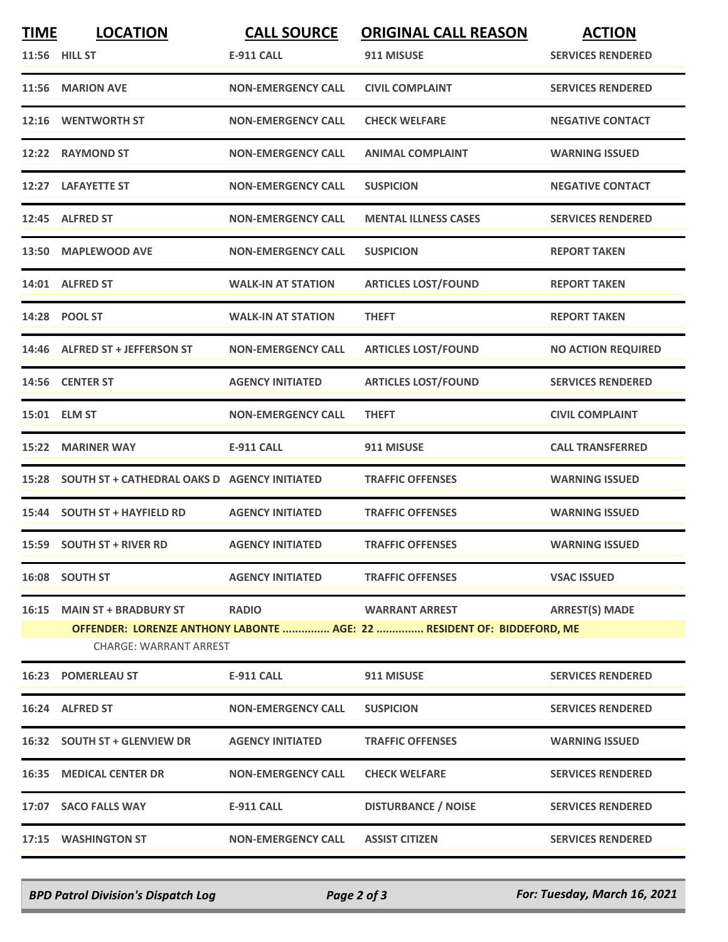| <b>TIME</b> | <b>LOCATION</b>                                    | <b>CALL SOURCE</b>        | <b>ORIGINAL CALL REASON</b>                                                                     | <b>ACTION</b>             |
|-------------|----------------------------------------------------|---------------------------|-------------------------------------------------------------------------------------------------|---------------------------|
|             | 11:56 HILL ST                                      | <b>E-911 CALL</b>         | 911 MISUSE                                                                                      | <b>SERVICES RENDERED</b>  |
|             | 11:56 MARION AVE                                   | <b>NON-EMERGENCY CALL</b> | <b>CIVIL COMPLAINT</b>                                                                          | <b>SERVICES RENDERED</b>  |
|             | 12:16 WENTWORTH ST                                 | <b>NON-EMERGENCY CALL</b> | <b>CHECK WELFARE</b>                                                                            | <b>NEGATIVE CONTACT</b>   |
|             | 12:22 RAYMOND ST                                   | <b>NON-EMERGENCY CALL</b> | <b>ANIMAL COMPLAINT</b>                                                                         | <b>WARNING ISSUED</b>     |
|             | 12:27 LAFAYETTE ST                                 | <b>NON-EMERGENCY CALL</b> | <b>SUSPICION</b>                                                                                | <b>NEGATIVE CONTACT</b>   |
|             | 12:45 ALFRED ST                                    | <b>NON-EMERGENCY CALL</b> | <b>MENTAL ILLNESS CASES</b>                                                                     | <b>SERVICES RENDERED</b>  |
|             | 13:50 MAPLEWOOD AVE                                | <b>NON-EMERGENCY CALL</b> | <b>SUSPICION</b>                                                                                | <b>REPORT TAKEN</b>       |
|             | 14:01 ALFRED ST                                    | <b>WALK-IN AT STATION</b> | <b>ARTICLES LOST/FOUND</b>                                                                      | <b>REPORT TAKEN</b>       |
|             | 14:28 POOL ST                                      | <b>WALK-IN AT STATION</b> | <b>THEFT</b>                                                                                    | <b>REPORT TAKEN</b>       |
|             | 14:46 ALFRED ST + JEFFERSON ST                     | <b>NON-EMERGENCY CALL</b> | <b>ARTICLES LOST/FOUND</b>                                                                      | <b>NO ACTION REQUIRED</b> |
|             | 14:56 CENTER ST                                    | <b>AGENCY INITIATED</b>   | <b>ARTICLES LOST/FOUND</b>                                                                      | <b>SERVICES RENDERED</b>  |
|             | 15:01 ELM ST                                       | <b>NON-EMERGENCY CALL</b> | <b>THEFT</b>                                                                                    | <b>CIVIL COMPLAINT</b>    |
|             | 15:22 MARINER WAY                                  | <b>E-911 CALL</b>         | 911 MISUSE                                                                                      | <b>CALL TRANSFERRED</b>   |
|             | 15:28 SOUTH ST + CATHEDRAL OAKS D AGENCY INITIATED |                           | <b>TRAFFIC OFFENSES</b>                                                                         | <b>WARNING ISSUED</b>     |
|             | 15:44 SOUTH ST + HAYFIELD RD                       | <b>AGENCY INITIATED</b>   | <b>TRAFFIC OFFENSES</b>                                                                         | <b>WARNING ISSUED</b>     |
|             | 15:59 SOUTH ST + RIVER RD                          | <b>AGENCY INITIATED</b>   | <b>TRAFFIC OFFENSES</b>                                                                         | <b>WARNING ISSUED</b>     |
|             | 16:08 SOUTH ST                                     | <b>AGENCY INITIATED</b>   | <b>TRAFFIC OFFENSES</b>                                                                         | <b>VSAC ISSUED</b>        |
|             | 16:15 MAIN ST + BRADBURY ST                        | <b>RADIO</b>              | <b>WARRANT ARREST</b><br>OFFENDER: LORENZE ANTHONY LABONTE  AGE: 22  RESIDENT OF: BIDDEFORD, ME | <b>ARREST(S) MADE</b>     |
|             | <b>CHARGE: WARRANT ARREST</b>                      |                           |                                                                                                 |                           |
|             | <b>16:23 POMERLEAU ST</b>                          | <b>E-911 CALL</b>         | 911 MISUSE                                                                                      | <b>SERVICES RENDERED</b>  |
|             | 16:24 ALFRED ST                                    | <b>NON-EMERGENCY CALL</b> | <b>SUSPICION</b>                                                                                | <b>SERVICES RENDERED</b>  |
|             | 16:32 SOUTH ST + GLENVIEW DR                       | <b>AGENCY INITIATED</b>   | <b>TRAFFIC OFFENSES</b>                                                                         | <b>WARNING ISSUED</b>     |
|             | <b>16:35 MEDICAL CENTER DR</b>                     | <b>NON-EMERGENCY CALL</b> | <b>CHECK WELFARE</b>                                                                            | <b>SERVICES RENDERED</b>  |
|             | 17:07 SACO FALLS WAY                               | E-911 CALL                | <b>DISTURBANCE / NOISE</b>                                                                      | <b>SERVICES RENDERED</b>  |
|             | 17:15 WASHINGTON ST                                | <b>NON-EMERGENCY CALL</b> | <b>ASSIST CITIZEN</b>                                                                           | <b>SERVICES RENDERED</b>  |

*BPD Patrol Division's Dispatch Log Page 2 of 3 For: Tuesday, March 16, 2021*